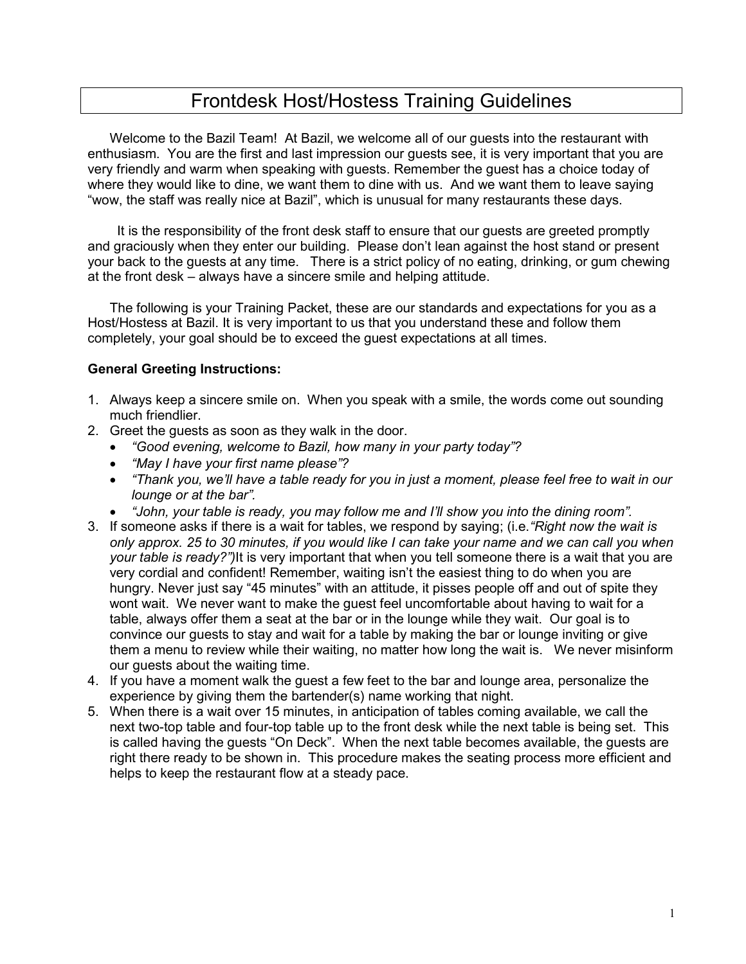# Frontdesk Host/Hostess Training Guidelines

Welcome to the Bazil Team! At Bazil, we welcome all of our guests into the restaurant with enthusiasm. You are the first and last impression our guests see, it is very important that you are very friendly and warm when speaking with guests. Remember the guest has a choice today of where they would like to dine, we want them to dine with us. And we want them to leave saying "wow, the staff was really nice at Bazil", which is unusual for many restaurants these days.

 It is the responsibility of the front desk staff to ensure that our guests are greeted promptly and graciously when they enter our building. Please don't lean against the host stand or present your back to the guests at any time. There is a strict policy of no eating, drinking, or gum chewing at the front desk – always have a sincere smile and helping attitude.

The following is your Training Packet, these are our standards and expectations for you as a Host/Hostess at Bazil. It is very important to us that you understand these and follow them completely, your goal should be to exceed the guest expectations at all times.

#### **General Greeting Instructions:**

- 1. Always keep a sincere smile on. When you speak with a smile, the words come out sounding much friendlier.
- 2. Greet the guests as soon as they walk in the door.
	- *"Good evening, welcome to Bazil, how many in your party today"?*
	- *"May I have your first name please"?*
	- *"Thank you, we'll have a table ready for you in just a moment, please feel free to wait in our lounge or at the bar".*
	- *"John, your table is ready, you may follow me and I'll show you into the dining room".*
- 3. If someone asks if there is a wait for tables, we respond by saying; (i.e.*"Right now the wait is only approx. 25 to 30 minutes, if you would like I can take your name and we can call you when your table is ready?")*It is very important that when you tell someone there is a wait that you are very cordial and confident! Remember, waiting isn't the easiest thing to do when you are hungry. Never just say "45 minutes" with an attitude, it pisses people off and out of spite they wont wait. We never want to make the guest feel uncomfortable about having to wait for a table, always offer them a seat at the bar or in the lounge while they wait. Our goal is to convince our guests to stay and wait for a table by making the bar or lounge inviting or give them a menu to review while their waiting, no matter how long the wait is. We never misinform our guests about the waiting time.
- 4. If you have a moment walk the guest a few feet to the bar and lounge area, personalize the experience by giving them the bartender(s) name working that night.
- 5. When there is a wait over 15 minutes, in anticipation of tables coming available, we call the next two-top table and four-top table up to the front desk while the next table is being set. This is called having the guests "On Deck". When the next table becomes available, the guests are right there ready to be shown in. This procedure makes the seating process more efficient and helps to keep the restaurant flow at a steady pace.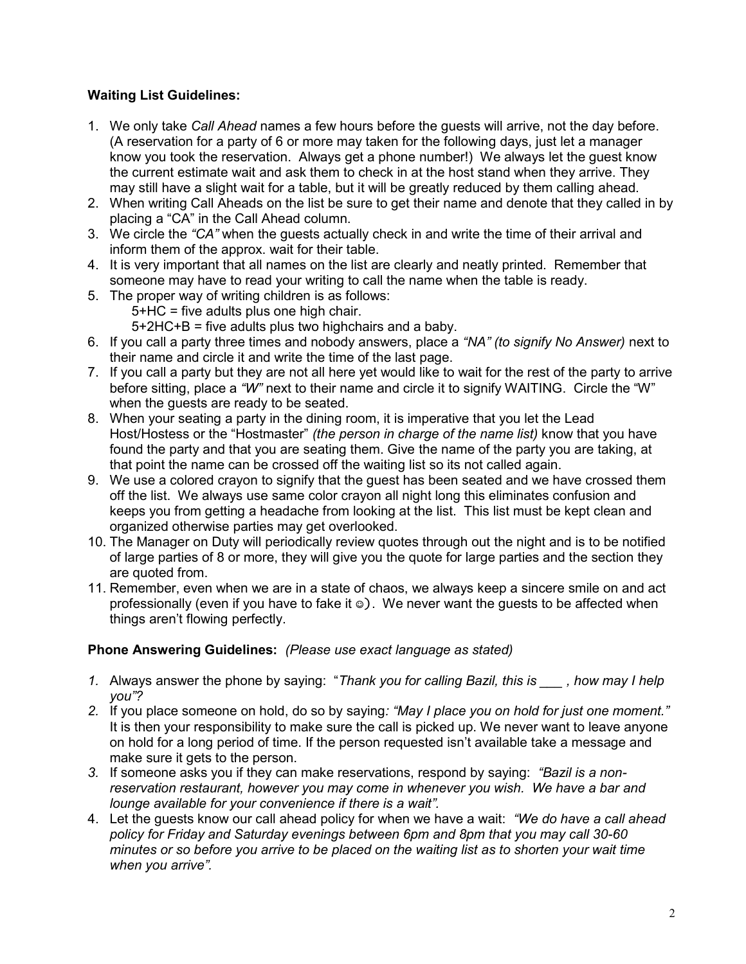## **Waiting List Guidelines:**

- 1. We only take *Call Ahead* names a few hours before the guests will arrive, not the day before. (A reservation for a party of 6 or more may taken for the following days, just let a manager know you took the reservation. Always get a phone number!) We always let the guest know the current estimate wait and ask them to check in at the host stand when they arrive. They may still have a slight wait for a table, but it will be greatly reduced by them calling ahead.
- 2. When writing Call Aheads on the list be sure to get their name and denote that they called in by placing a "CA" in the Call Ahead column.
- 3. We circle the *"CA"* when the guests actually check in and write the time of their arrival and inform them of the approx. wait for their table.
- 4. It is very important that all names on the list are clearly and neatly printed. Remember that someone may have to read your writing to call the name when the table is ready.
- 5. The proper way of writing children is as follows:
	- 5+HC = five adults plus one high chair.

5+2HC+B = five adults plus two highchairs and a baby.

- 6. If you call a party three times and nobody answers, place a *"NA" (to signify No Answer)* next to their name and circle it and write the time of the last page.
- 7. If you call a party but they are not all here yet would like to wait for the rest of the party to arrive before sitting, place a *"W"* next to their name and circle it to signify WAITING. Circle the "W" when the guests are ready to be seated.
- 8. When your seating a party in the dining room, it is imperative that you let the Lead Host/Hostess or the "Hostmaster" *(the person in charge of the name list)* know that you have found the party and that you are seating them. Give the name of the party you are taking, at that point the name can be crossed off the waiting list so its not called again.
- 9. We use a colored crayon to signify that the guest has been seated and we have crossed them off the list. We always use same color crayon all night long this eliminates confusion and keeps you from getting a headache from looking at the list. This list must be kept clean and organized otherwise parties may get overlooked.
- 10. The Manager on Duty will periodically review quotes through out the night and is to be notified of large parties of 8 or more, they will give you the quote for large parties and the section they are quoted from.
- 11. Remember, even when we are in a state of chaos, we always keep a sincere smile on and act professionally (even if you have to fake it  $\circledcirc$ ). We never want the quests to be affected when things aren't flowing perfectly.

### **Phone Answering Guidelines:** *(Please use exact language as stated)*

- *1.* Always answer the phone by saying: "*Thank you for calling Bazil, this is \_\_\_ , how may I help you"?*
- *2.* If you place someone on hold, do so by saying*: "May I place you on hold for just one moment."* It is then your responsibility to make sure the call is picked up. We never want to leave anyone on hold for a long period of time. If the person requested isn't available take a message and make sure it gets to the person.
- *3.* If someone asks you if they can make reservations, respond by saying: *"Bazil is a nonreservation restaurant, however you may come in whenever you wish. We have a bar and lounge available for your convenience if there is a wait".*
- 4. Let the guests know our call ahead policy for when we have a wait: *"We do have a call ahead policy for Friday and Saturday evenings between 6pm and 8pm that you may call 30-60 minutes or so before you arrive to be placed on the waiting list as to shorten your wait time when you arrive".*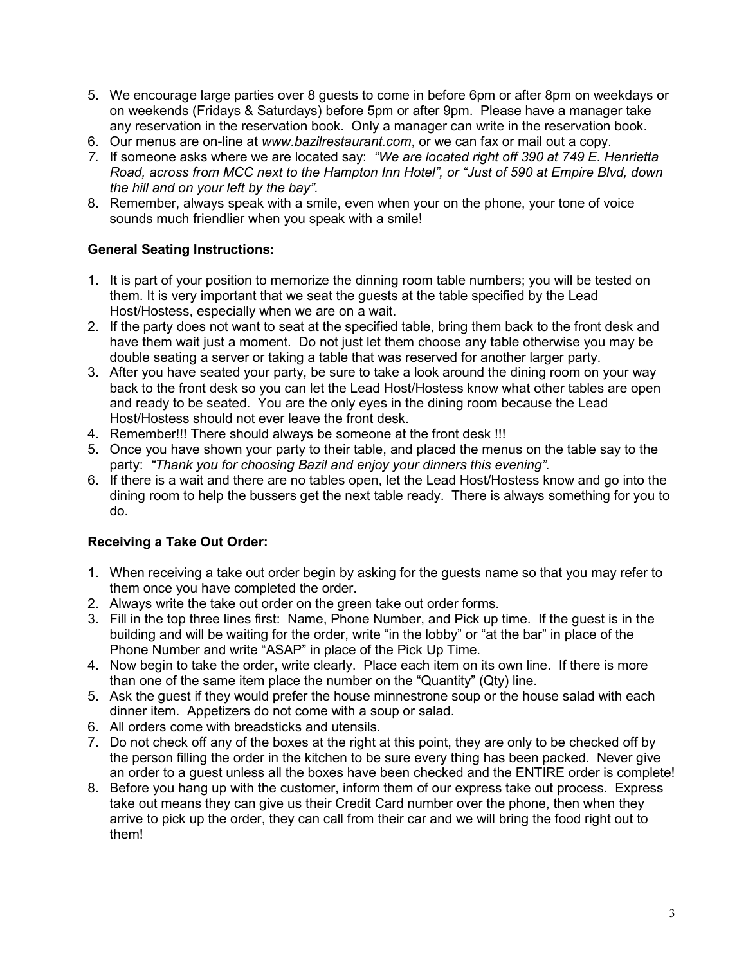- 5. We encourage large parties over 8 guests to come in before 6pm or after 8pm on weekdays or on weekends (Fridays & Saturdays) before 5pm or after 9pm. Please have a manager take any reservation in the reservation book. Only a manager can write in the reservation book.
- 6. Our menus are on-line at *www.bazilrestaurant.com*, or we can fax or mail out a copy.
- *7.* If someone asks where we are located say: *"We are located right off 390 at 749 E. Henrietta Road, across from MCC next to the Hampton Inn Hotel", or "Just of 590 at Empire Blvd, down the hill and on your left by the bay".*
- 8. Remember, always speak with a smile, even when your on the phone, your tone of voice sounds much friendlier when you speak with a smile!

#### **General Seating Instructions:**

- 1. It is part of your position to memorize the dinning room table numbers; you will be tested on them. It is very important that we seat the guests at the table specified by the Lead Host/Hostess, especially when we are on a wait.
- 2. If the party does not want to seat at the specified table, bring them back to the front desk and have them wait just a moment. Do not just let them choose any table otherwise you may be double seating a server or taking a table that was reserved for another larger party.
- 3. After you have seated your party, be sure to take a look around the dining room on your way back to the front desk so you can let the Lead Host/Hostess know what other tables are open and ready to be seated. You are the only eyes in the dining room because the Lead Host/Hostess should not ever leave the front desk.
- 4. Remember!!! There should always be someone at the front desk !!!
- 5. Once you have shown your party to their table, and placed the menus on the table say to the party: *"Thank you for choosing Bazil and enjoy your dinners this evening".*
- 6. If there is a wait and there are no tables open, let the Lead Host/Hostess know and go into the dining room to help the bussers get the next table ready. There is always something for you to do.

### **Receiving a Take Out Order:**

- 1. When receiving a take out order begin by asking for the guests name so that you may refer to them once you have completed the order.
- 2. Always write the take out order on the green take out order forms.
- 3. Fill in the top three lines first: Name, Phone Number, and Pick up time. If the guest is in the building and will be waiting for the order, write "in the lobby" or "at the bar" in place of the Phone Number and write "ASAP" in place of the Pick Up Time.
- 4. Now begin to take the order, write clearly. Place each item on its own line. If there is more than one of the same item place the number on the "Quantity" (Qty) line.
- 5. Ask the guest if they would prefer the house minnestrone soup or the house salad with each dinner item. Appetizers do not come with a soup or salad.
- 6. All orders come with breadsticks and utensils.
- 7. Do not check off any of the boxes at the right at this point, they are only to be checked off by the person filling the order in the kitchen to be sure every thing has been packed. Never give an order to a guest unless all the boxes have been checked and the ENTIRE order is complete!
- 8. Before you hang up with the customer, inform them of our express take out process. Express take out means they can give us their Credit Card number over the phone, then when they arrive to pick up the order, they can call from their car and we will bring the food right out to them!